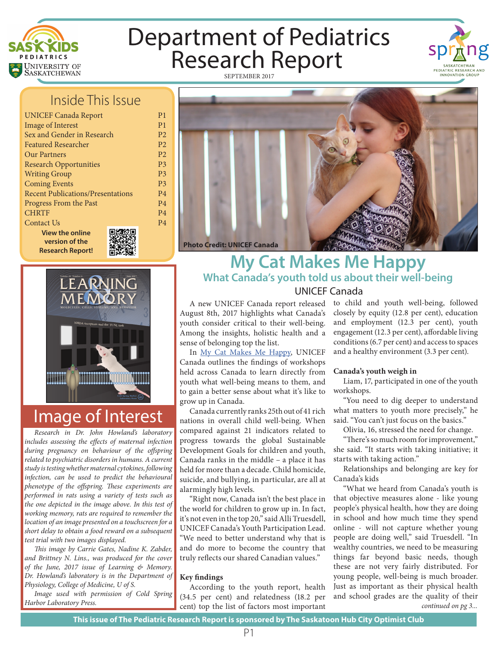

## Department of Pediatrics Research Report SEPTEMBER 2017



### Inside This Issue

P1 P1 P2 P2 P2 P3 P3 P3 P4 P4 P4 P4

| <b>UNICEF Canada Report</b>              |  |
|------------------------------------------|--|
| <b>Image of Interest</b>                 |  |
| Sex and Gender in Research               |  |
| <b>Featured Researcher</b>               |  |
| Our Partners                             |  |
| <b>Research Opportunities</b>            |  |
| <b>Writing Group</b>                     |  |
| <b>Coming Events</b>                     |  |
| <b>Recent Publications/Presentations</b> |  |
| Progress From the Past                   |  |
| <b>CHRTF</b>                             |  |
| Contact Us                               |  |
| <b>View the online</b>                   |  |
| version of the                           |  |
| <b>Research Report!</b>                  |  |



# MOLECULES, CELLS, SYSTEMS, AND BEHAVIOR LEARNING **FMO** NMDA receptors and the TUNL task

## Image of Interest

*Research in Dr. John Howland's laboratory includes assessing the effects of maternal infection during pregnancy on behaviour of the offspring related to psychiatric disorders in humans. A current study is testing whether maternal cytokines, following infection, can be used to predict the behavioural phenotype of the offspring. These experiments are performed in rats using a variety of tests such as the one depicted in the image above. In this test of working memory, rats are required to remember the location of an image presented on a touchscreen for a short delay to obtain a food reward on a subsequent test trial with two images displayed.*

*This image by Carrie Gates, Nadine K. Zabder, and Brittney N. Lins., was produced for the cover of the June, 2017 issue of Learning & Memory. Dr. Howland's laboratory is in the Department of Physiology, College of Medicine, U of S.*

*Image used with permission of Cold Spring* 

#### **My Cat Makes Me Happy What Canada's youth told us about their well-being** UNICEF Canada

A new UNICEF Canada report released August 8th, 2017 highlights what Canada's youth consider critical to their well-being. Among the insights, holistic health and a sense of belonging top the list.

In My Cat Makes Me Happy, UNICEF Canada outlines the findings of workshops held across Canada to learn directly from youth what well-being means to them, and to gain a better sense about what it's like to grow up in Canada.

Canada currently ranks 25th out of 41 rich nations in overall child well-being. When compared against 21 indicators related to progress towards the global Sustainable Development Goals for children and youth, Canada ranks in the middle – a place it has held for more than a decade. Child homicide, suicide, and bullying, in particular, are all at alarmingly high levels.

"Right now, Canada isn't the best place in the world for children to grow up in. In fact, it's not even in the top 20," said Alli Truesdell, UNICEF Canada's Youth Participation Lead. "We need to better understand why that is and do more to become the country that truly reflects our shared Canadian values."

#### **Key findings**

According to the youth report, health (34.5 per cent) and relatedness (18.2 per Harbor Laboratory Press. **Figure 2.1 continued on pg 3...** *continued on pg 3... continued on pg 3...* 

to child and youth well-being, followed closely by equity (12.8 per cent), education and employment (12.3 per cent), youth engagement (12.3 per cent), affordable living conditions (6.7 per cent) and access to spaces and a healthy environment (3.3 per cent).

#### **Canada's youth weigh in**

Liam, 17, participated in one of the youth workshops.

"You need to dig deeper to understand what matters to youth more precisely," he said. "You can't just focus on the basics."

Olivia, 16, stressed the need for change.

"There's so much room for improvement," she said. "It starts with taking initiative; it starts with taking action."

Relationships and belonging are key for Canada's kids

"What we heard from Canada's youth is that objective measures alone - like young people's physical health, how they are doing in school and how much time they spend online - will not capture whether young people are doing well," said Truesdell. "In wealthy countries, we need to be measuring things far beyond basic needs, though these are not very fairly distributed. For young people, well-being is much broader. Just as important as their physical health and school grades are the quality of their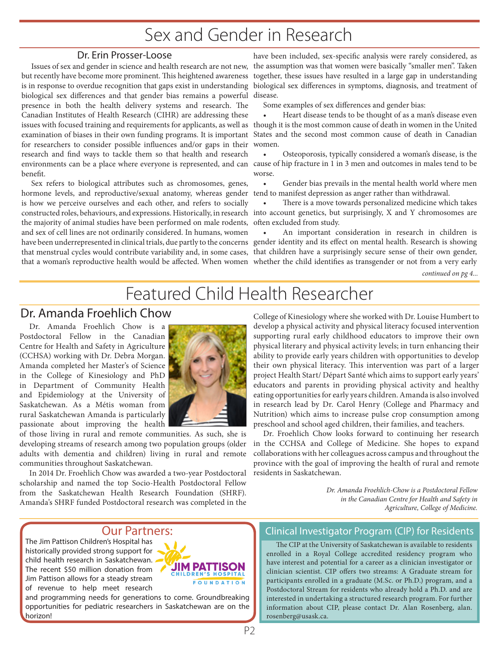### Sex and Gender in Research

#### Dr. Erin Prosser-Loose

Issues of sex and gender in science and health research are not new, but recently have become more prominent. This heightened awareness is in response to overdue recognition that gaps exist in understanding biological sex differences and that gender bias remains a powerful disease. presence in both the health delivery systems and research. The Canadian Institutes of Health Research (CIHR) are addressing these issues with focused training and requirements for applicants, as well as examination of biases in their own funding programs. It is important for researchers to consider possible influences and/or gaps in their research and find ways to tackle them so that health and research environments can be a place where everyone is represented, and can cause of hip fracture in 1 in 3 men and outcomes in males tend to be benefit.

Sex refers to biological attributes such as chromosomes, genes, hormone levels, and reproductive/sexual anatomy, whereas gender tend to manifest depression as anger rather than withdrawal. is how we perceive ourselves and each other, and refers to socially constructed roles, behaviours, and expressions. Historically, in research into account genetics, but surprisingly, X and Y chromosomes are the majority of animal studies have been performed on male rodents, and sex of cell lines are not ordinarily considered. In humans, women have been underrepresented in clinical trials, due partly to the concerns gender identity and its effect on mental health. Research is showing that menstrual cycles would contribute variability and, in some cases, that a woman's reproductive health would be affected. When women whether the child identifies as transgender or not from a very early

have been included, sex-specific analysis were rarely considered, as the assumption was that women were basically "smaller men". Taken together, these issues have resulted in a large gap in understanding biological sex differences in symptoms, diagnosis, and treatment of

Some examples of sex differences and gender bias:

Heart disease tends to be thought of as a man's disease even though it is the most common cause of death in women in the United States and the second most common cause of death in Canadian women.

• Osteoporosis, typically considered a woman's disease, is the worse.

Gender bias prevails in the mental health world where men

There is a move towards personalized medicine which takes often excluded from study.

• An important consideration in research in children is that children have a surprisingly secure sense of their own gender,

*continued on pg 4...*

## Featured Child Health Researcher

#### Dr. Amanda Froehlich Chow

Dr. Amanda Froehlich Chow is Postdoctoral Fellow in the Canadian Centre for Health and Safety in Agriculture (CCHSA) working with Dr. Debra Morgan. Amanda completed her Master's of Science in the College of Kinesiology and PhD in Department of Community Health and Epidemiology at the University of Saskatchewan. As a Métis woman from rural Saskatchewan Amanda is particularly passionate about improving the health



of those living in rural and remote communities. As such, she is developing streams of research among two population groups (older adults with dementia and children) living in rural and remote communities throughout Saskatchewan.

In 2014 Dr. Froehlich Chow was awarded a two-year Postdoctoral scholarship and named the top Socio-Health Postdoctoral Fellow from the Saskatchewan Health Research Foundation (SHRF). Amanda's SHRF funded Postdoctoral research was completed in the

College of Kinesiology where she worked with Dr. Louise Humbert to develop a physical activity and physical literacy focused intervention supporting rural early childhood educators to improve their own physical literary and physical activity levels; in turn enhancing their ability to provide early years children with opportunities to develop their own physical literacy. This intervention was part of a larger project Health Start/ Départ Santé which aims to support early years' educators and parents in providing physical activity and healthy eating opportunities for early years children. Amanda is also involved in research lead by Dr. Carol Henry (College and Pharmacy and Nutrition) which aims to increase pulse crop consumption among preschool and school aged children, their families, and teachers.

Dr. Froehlich Chow looks forward to continuing her research in the CCHSA and College of Medicine. She hopes to expand collaborations with her colleagues across campus and throughout the province with the goal of improving the health of rural and remote residents in Saskatchewan.

> *Dr. Amanda Froehlich-Chow is a Postdoctoral Fellow in the Canadian Centre for Health and Safety in Agriculture, College of Medicine.*

#### Our Partners:

The Jim Pattison Children's Hospital has historically provided strong support for child health research in Saskatchewan. The recent \$50 million donation from Jim Pattison allows for a steady stream of revenue to help meet research



and programming needs for generations to come. Groundbreaking opportunities for pediatric researchers in Saskatchewan are on the horizon!

#### Clinical Investigator Program (CIP) for Residents

The CIP at the University of Saskatchewan is available to residents enrolled in a Royal College accredited residency program who have interest and potential for a career as a clinician investigator or clinician scientist. CIP offers two streams: A Graduate stream for participants enrolled in a graduate (M.Sc. or Ph.D.) program, and a Postdoctoral Stream for residents who already hold a Ph.D. and are interested in undertaking a structured research program. For further information about CIP, please contact Dr. Alan Rosenberg, alan. rosenberg@usask.ca.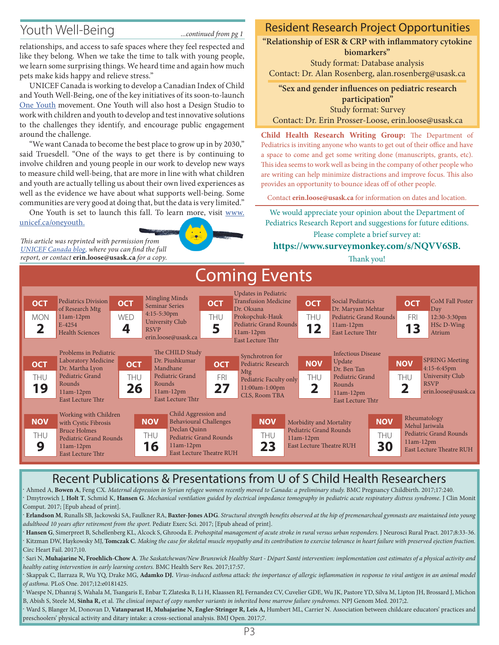### Youth Well-Being *...continued from pg 1*

relationships, and access to safe spaces where they feel respected and like they belong. When we take the time to talk with young people, we learn some surprising things. We heard time and again how much pets make kids happy and relieve stress."

UNICEF Canada is working to develop a Canadian Index of Child and Youth Well-Being, one of the key initiatives of its soon-to-launch One Youth movement. One Youth will also host a Design Studio to work with children and youth to develop and test innovative solutions to the challenges they identify, and encourage public engagement around the challenge.

"We want Canada to become the best place to grow up in by 2030," said Truesdell. "One of the ways to get there is by continuing to involve children and young people in our work to develop new ways to measure child well-being, that are more in line with what children and youth are actually telling us about their own lived experiences as well as the evidence we have about what supports well-being. Some communities are very good at doing that, but the data is very limited."

One Youth is set to launch this fall. To learn more, visit www. unicef.ca/oneyouth.

*This article was reprinted with permission from UNICEF Canada blog, where you can find the full report, or contact* **erin.loose@usask.ca** *for a copy.*

#### Resident Research Project Opportunities

**"Relationship of ESR & CRP with inflammatory cytokine biomarkers"**

Study format: Database analysis Contact: Dr. Alan Rosenberg, alan.rosenberg@usask.ca

**"Sex and gender influences on pediatric research participation"** Study format: Survey

Contact: Dr. Erin Prosser-Loose, erin.loose@usask.ca

**Child Health Research Writing Group:** The Department of Pediatrics is inviting anyone who wants to get out of their office and have a space to come and get some writing done (manuscripts, grants, etc). This idea seems to work well as being in the company of other people who are writing can help minimize distractions and improve focus. This also provides an opportunity to bounce ideas off of other people.

Contact **erin.loose@usask.ca** for information on dates and location.

We would appreciate your opinion about the Department of Pediatrics Research Report and suggestions for future editions. Please complete a brief survey at:

#### **https://www.surveymonkey.com/s/NQVV6SB.**

Thank you!



#### Recent Publications & Presentations from U of S Child Health Researchers

. Ahmed A, **Bowen A**, Feng CX. *Maternal depression in Syrian refugee women recently moved to Canada: a preliminary study.* BMC Pregnancy Childbirth. 2017;17:240. . Dmytrowich J, **Holt T**, Schmid K, **Hansen G**. *Mechanical ventilation guided by electrical impedance tomography in pediatric acute respiratory distress syndrome*. J Clin Monit Comput. 2017; [Epub ahead of print].

. **Erlandson M**, Runalls SB, Jackowski SA, Faulkner RA, **Baxter-Jones ADG**. *Structural strength benefits observed at the hip of premenarcheal gymnasts are maintained into young adulthood 10 years after retirement from the sport.* Pediatr Exerc Sci. 2017; [Epub ahead of print].

. **Hansen G**, Simerpreet B, Schellenberg KL, Alcock S, Ghrooda E. *Prehospital management of acute stroke in rural versus urban responders.* J Neurosci Rural Pract. 2017;8:33-36. . Kitzman DW, Haykowsky MJ, **Tomczak C**. *Making the case for skeletal muscle myopathy and its contribution to exercise tolerance in heart failure with preserved ejection fraction.*  Circ Heart Fail. 2017;10.

. Sari N, **Muhajarine N, Froehlich-Chow A**. *The Saskatchewan/New Brunswick Healthy Start - Départ Santé intervention: implementation cost estimates of a physical activity and healthy eating intervention in early learning centers.* BMC Health Serv Res. 2017;17:57.

. Skappak C, Ilarraza R, Wu YQ, Drake MG, **Adamko DJ.** *Virus-induced asthma attack: the importance of allergic inflammation in response to viral antigen in an animal model of asthma.* PLoS One. 2017;12:e0181425.

. Waespe N, Dhanraj S, Wahala M, Tsangaris E, Enbar T, Zlateska B, Li H, Klaassen RJ, Fernandez CV, Cuvelier GDE, Wu JK, Pastore YD, Silva M, Lipton JH, Brossard J, Michon B, Abish S, Steele M, **Sinha R,** et al. *The clinical impact of copy number variants in inherited bone marrow failure syndromes.* NPJ Genom Med. 2017;2.

. Ward S, Blanger M, Donovan D, **Vatanparast H, Muhajarine N, Engler-Stringer R, Leis A,** Humbert ML, Carrier N. Association between childcare educators' practices and preschoolers' physical activity and ditary intake: a cross-sectional analysis. BMJ Open. 2017;7.